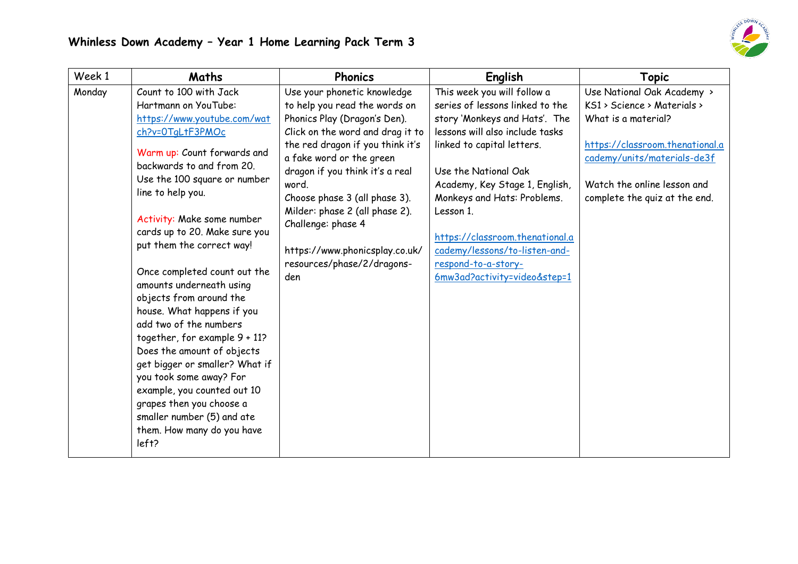

| Week 1 | Maths                                                                                                                                                                                                                                                                                                                                                                                                                                                                                                                                                                                                                                                                                                                     | <b>Phonics</b>                                                                                                                                                                                                                                                                                                                                                                                               | English                                                                                                                                                                                                                                                                                                                                                                                           | <b>Topic</b>                                                                                                                                                                                                       |
|--------|---------------------------------------------------------------------------------------------------------------------------------------------------------------------------------------------------------------------------------------------------------------------------------------------------------------------------------------------------------------------------------------------------------------------------------------------------------------------------------------------------------------------------------------------------------------------------------------------------------------------------------------------------------------------------------------------------------------------------|--------------------------------------------------------------------------------------------------------------------------------------------------------------------------------------------------------------------------------------------------------------------------------------------------------------------------------------------------------------------------------------------------------------|---------------------------------------------------------------------------------------------------------------------------------------------------------------------------------------------------------------------------------------------------------------------------------------------------------------------------------------------------------------------------------------------------|--------------------------------------------------------------------------------------------------------------------------------------------------------------------------------------------------------------------|
| Monday | Count to 100 with Jack<br>Hartmann on YouTube:<br>https://www.youtube.com/wat<br>ch?v=0TqLtF3PMOc<br>Warm up: Count forwards and<br>backwards to and from 20.<br>Use the 100 square or number<br>line to help you.<br>Activity: Make some number<br>cards up to 20. Make sure you<br>put them the correct way!<br>Once completed count out the<br>amounts underneath using<br>objects from around the<br>house. What happens if you<br>add two of the numbers<br>together, for example 9 + 11?<br>Does the amount of objects<br>get bigger or smaller? What if<br>you took some away? For<br>example, you counted out 10<br>grapes then you choose a<br>smaller number (5) and ate<br>them. How many do you have<br>left? | Use your phonetic knowledge<br>to help you read the words on<br>Phonics Play (Dragon's Den).<br>Click on the word and drag it to<br>the red dragon if you think it's<br>a fake word or the green<br>dragon if you think it's a real<br>word.<br>Choose phase 3 (all phase 3).<br>Milder: phase 2 (all phase 2).<br>Challenge: phase 4<br>https://www.phonicsplay.co.uk/<br>resources/phase/2/dragons-<br>den | This week you will follow a<br>series of lessons linked to the<br>story 'Monkeys and Hats'. The<br>lessons will also include tasks<br>linked to capital letters.<br>Use the National Oak<br>Academy, Key Stage 1, English,<br>Monkeys and Hats: Problems.<br>Lesson 1.<br>https://classroom.thenational.a<br>cademy/lessons/to-listen-and-<br>respond-to-a-story-<br>6mw3ad?activity=video&step=1 | Use National Oak Academy ><br>KS1 > Science > Materials ><br>What is a material?<br>https://classroom.thenational.a<br>cademy/units/materials-de3f<br>Watch the online lesson and<br>complete the quiz at the end. |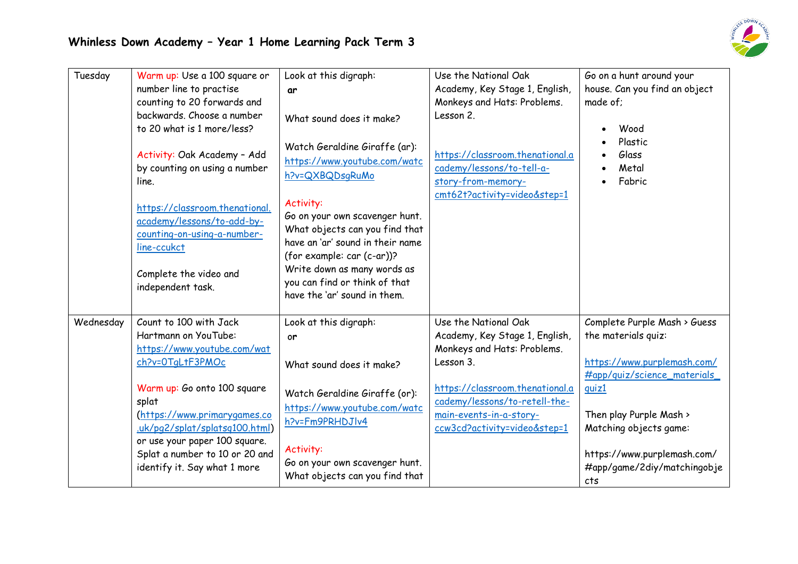| Tuesday   | Warm up: Use a 100 square or<br>number line to practise<br>counting to 20 forwards and<br>backwards. Choose a number<br>to 20 what is 1 more/less?<br>Activity: Oak Academy - Add<br>by counting on using a number<br>line.<br>https://classroom.thenational.<br>academy/lessons/to-add-by-<br>counting-on-using-a-number-<br>line-ccukct<br>Complete the video and<br>independent task. | Look at this digraph:<br>ar<br>What sound does it make?<br>Watch Geraldine Giraffe (ar):<br>https://www.youtube.com/watc<br>h?v=QXBQDsqRuMo<br>Activity:<br>Go on your own scavenger hunt.<br>What objects can you find that<br>have an 'ar' sound in their name<br>(for example: car (c-ar))?<br>Write down as many words as<br>you can find or think of that<br>have the 'ar' sound in them. | Use the National Oak<br>Academy, Key Stage 1, English,<br>Monkeys and Hats: Problems.<br>Lesson 2.<br>https://classroom.thenational.a<br>cademy/lessons/to-tell-a-<br>story-from-memory-<br>cmt62t?activity=video&step=1          | Go on a hunt around your<br>house. Can you find an object<br>made of;<br>Wood<br>Plastic<br>Glass<br>Metal<br>Fabric                                                                                                                                 |
|-----------|------------------------------------------------------------------------------------------------------------------------------------------------------------------------------------------------------------------------------------------------------------------------------------------------------------------------------------------------------------------------------------------|------------------------------------------------------------------------------------------------------------------------------------------------------------------------------------------------------------------------------------------------------------------------------------------------------------------------------------------------------------------------------------------------|-----------------------------------------------------------------------------------------------------------------------------------------------------------------------------------------------------------------------------------|------------------------------------------------------------------------------------------------------------------------------------------------------------------------------------------------------------------------------------------------------|
| Wednesday | Count to 100 with Jack<br>Hartmann on YouTube:<br>https://www.youtube.com/wat<br>ch?v=0TqLtF3PMOc<br>Warm up: Go onto 100 square<br>splat<br>(https://www.primarygames.co<br>.uk/pg2/splat/splatsg100.html)<br>or use your paper 100 square.<br>Splat a number to 10 or 20 and<br>identify it. Say what 1 more                                                                           | Look at this digraph:<br><sub>or</sub><br>What sound does it make?<br>Watch Geraldine Giraffe (or):<br>https://www.youtube.com/watc<br>h?v=Fm9PRHDJIv4<br>Activity:<br>Go on your own scavenger hunt.<br>What objects can you find that                                                                                                                                                        | Use the National Oak<br>Academy, Key Stage 1, English,<br>Monkeys and Hats: Problems.<br>Lesson 3.<br>https://classroom.thenational.a<br>cademy/lessons/to-retell-the-<br>main-events-in-a-story-<br>ccw3cd?activity=video&step=1 | Complete Purple Mash > Guess<br>the materials quiz:<br>https://www.purplemash.com/<br>#app/quiz/science_materials<br>quiz1<br>Then play Purple Mash ><br>Matching objects game:<br>https://www.purplemash.com/<br>#app/game/2diy/matchingobje<br>cts |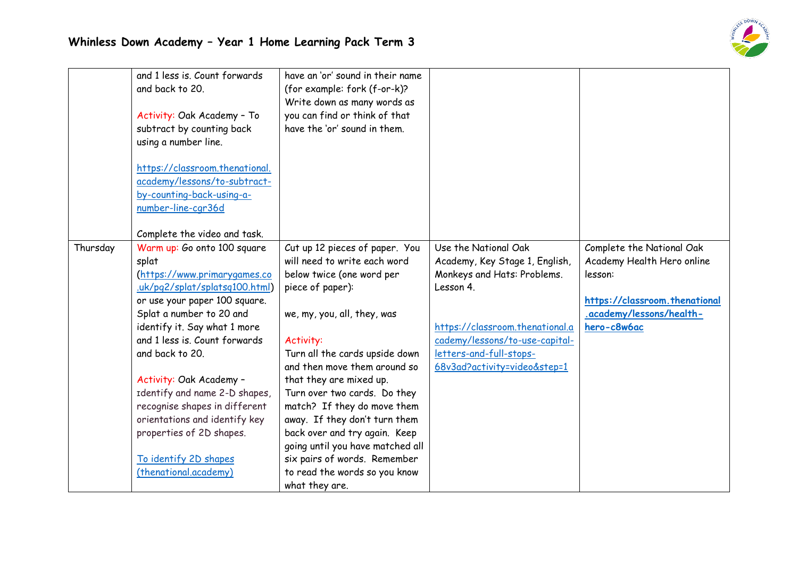

|          | and 1 less is. Count forwards<br>and back to 20.<br>Activity: Oak Academy - To<br>subtract by counting back<br>using a number line.<br>https://classroom.thenational.<br>academy/lessons/to-subtract-<br>by-counting-back-using-a-<br>number-line-cgr36d<br>Complete the video and task.                                                                                                                                                                           | have an 'or' sound in their name<br>(for example: fork (f-or-k)?<br>Write down as many words as<br>you can find or think of that<br>have the 'or' sound in them.                                                                                                                                                                                                                                                                                                                                                 |                                                                                                                                                                                                                                    |                                                                                                                                                |
|----------|--------------------------------------------------------------------------------------------------------------------------------------------------------------------------------------------------------------------------------------------------------------------------------------------------------------------------------------------------------------------------------------------------------------------------------------------------------------------|------------------------------------------------------------------------------------------------------------------------------------------------------------------------------------------------------------------------------------------------------------------------------------------------------------------------------------------------------------------------------------------------------------------------------------------------------------------------------------------------------------------|------------------------------------------------------------------------------------------------------------------------------------------------------------------------------------------------------------------------------------|------------------------------------------------------------------------------------------------------------------------------------------------|
| Thursday | Warm up: Go onto 100 square<br>splat<br>(https://www.primarygames.co<br>uk/pg2/splat/splatsg100.html)<br>or use your paper 100 square.<br>Splat a number to 20 and<br>identify it. Say what 1 more<br>and 1 less is. Count forwards<br>and back to 20.<br>Activity: Oak Academy -<br>Identify and name 2-D shapes,<br>recognise shapes in different<br>orientations and identify key<br>properties of 2D shapes.<br>To identify 2D shapes<br>(thenational.academy) | Cut up 12 pieces of paper. You<br>will need to write each word<br>below twice (one word per<br>piece of paper):<br>we, my, you, all, they, was<br>Activity:<br>Turn all the cards upside down<br>and then move them around so<br>that they are mixed up.<br>Turn over two cards. Do they<br>match? If they do move them<br>away. If they don't turn them<br>back over and try again. Keep<br>going until you have matched all<br>six pairs of words. Remember<br>to read the words so you know<br>what they are. | Use the National Oak<br>Academy, Key Stage 1, English,<br>Monkeys and Hats: Problems.<br>Lesson 4.<br>https://classroom.thenational.a<br>cademy/lessons/to-use-capital-<br>letters-and-full-stops-<br>68v3ad?activity=video&step=1 | Complete the National Oak<br>Academy Health Hero online<br>lesson:<br>https://classroom.thenational<br>.academy/lessons/health-<br>hero-c8w6ac |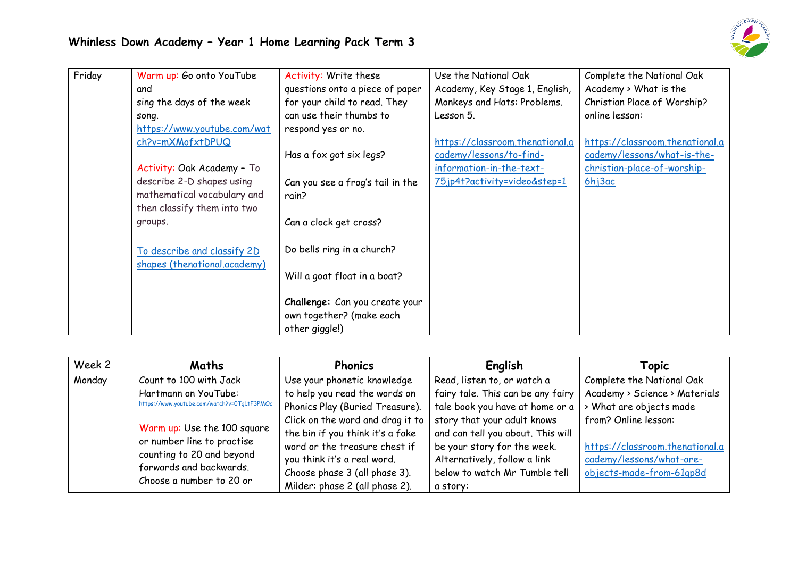

| Friday | Warm up: Go onto YouTube<br>and | Activity: Write these<br>questions onto a piece of paper                     | Use the National Oak<br>Academy, Key Stage 1, English, | Complete the National Oak<br>Academy > What is the |
|--------|---------------------------------|------------------------------------------------------------------------------|--------------------------------------------------------|----------------------------------------------------|
|        | sing the days of the week       | for your child to read. They                                                 | Monkeys and Hats: Problems.                            | Christian Place of Worship?                        |
|        | song.                           | can use their thumbs to                                                      | Lesson 5.                                              | online lesson:                                     |
|        | https://www.youtube.com/wat     | respond yes or no.                                                           |                                                        |                                                    |
|        | ch?v=mXMofxtDPUQ                |                                                                              | https://classroom.thenational.a                        | https://classroom.thenational.a                    |
|        |                                 | Has a fox got six legs?                                                      | cademy/lessons/to-find-                                | cademy/lessons/what-is-the-                        |
|        | Activity: Oak Academy - To      |                                                                              | information-in-the-text-                               | christian-place-of-worship-                        |
|        | describe 2-D shapes using       | Can you see a frog's tail in the                                             | 75jp4t?activity=video&step=1                           | 6hj3ac                                             |
|        | mathematical vocabulary and     | rain?                                                                        |                                                        |                                                    |
|        | then classify them into two     |                                                                              |                                                        |                                                    |
|        | groups.                         | Can a clock get cross?                                                       |                                                        |                                                    |
|        | To describe and classify 2D     | Do bells ring in a church?                                                   |                                                        |                                                    |
|        | shapes (thenational.academy)    | Will a goat float in a boat?                                                 |                                                        |                                                    |
|        |                                 | Challenge: Can you create your<br>own together? (make each<br>other giggle!) |                                                        |                                                    |

| Week 2 | Maths                                                                                                                                         | <b>Phonics</b>                   | English                           | Topic                           |
|--------|-----------------------------------------------------------------------------------------------------------------------------------------------|----------------------------------|-----------------------------------|---------------------------------|
| Monday | Count to 100 with Jack                                                                                                                        | Use your phonetic knowledge      | Read, listen to, or watch a       | Complete the National Oak       |
|        | Hartmann on YouTube:                                                                                                                          | to help you read the words on    | fairy tale. This can be any fairy | Academy > Science > Materials   |
|        | https://www.youtube.com/watch?v=0TgLtF3PMOc                                                                                                   | Phonics Play (Buried Treasure).  | tale book you have at home or a   | > What are objects made         |
|        |                                                                                                                                               | Click on the word and drag it to | story that your adult knows       | from? Online lesson:            |
|        | Warm up: Use the 100 square<br>or number line to practise<br>counting to 20 and beyond<br>forwards and backwards.<br>Choose a number to 20 or | the bin if you think it's a fake | and can tell you about. This will |                                 |
|        |                                                                                                                                               | word or the treasure chest if    | be your story for the week.       | https://classroom.thenational.a |
|        |                                                                                                                                               | you think it's a real word.      | Alternatively, follow a link      | cademy/lessons/what-are-        |
|        |                                                                                                                                               | Choose phase 3 (all phase 3).    | below to watch Mr Tumble tell     | objects-made-from-61qp8d        |
|        |                                                                                                                                               | Milder: phase 2 (all phase 2).   | a story:                          |                                 |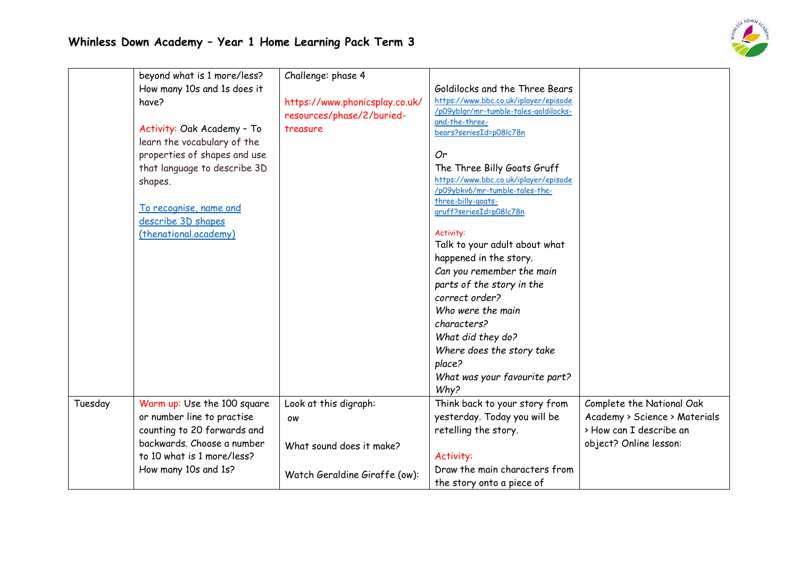

|         | beyond what is 1 more/less?<br>How many 10s and 1s does it<br>have?<br>Activity: Oak Academy - To                                                    | Challenge: phase 4<br>https://www.phonicsplay.co.uk/<br>resources/phase/2/buried-<br>treasure | Goldilocks and the Three Bears<br>https://www.bbc.co.uk/iplayer/episode<br>/p09yblqr/mr-tumble-tales-goldilocks-<br>and-the-three-                            |                                                                                                                 |
|---------|------------------------------------------------------------------------------------------------------------------------------------------------------|-----------------------------------------------------------------------------------------------|---------------------------------------------------------------------------------------------------------------------------------------------------------------|-----------------------------------------------------------------------------------------------------------------|
|         | learn the vocabulary of the<br>properties of shapes and use<br>that language to describe 3D<br>shapes.                                               |                                                                                               | bears?seriesId=p08lc78n<br>Or<br>The Three Billy Goats Gruff<br>https://www.bbc.co.uk/iplayer/episode<br>/p09ybkv6/mr-tumble-tales-the-<br>three-billy-goats- |                                                                                                                 |
|         | To recognise, name and<br>describe 3D shapes<br>(thenational.academy)                                                                                |                                                                                               | gruff?seriesId=p08lc78n<br>Activity:<br>Talk to your adult about what<br>happened in the story.<br>Can you remember the main<br>parts of the story in the     |                                                                                                                 |
|         |                                                                                                                                                      |                                                                                               | correct order?<br>Who were the main<br>characters?<br>What did they do?<br>Where does the story take<br>place?<br>What was your favourite part?<br>Why?       |                                                                                                                 |
| Tuesday | Warm up: Use the 100 square<br>or number line to practise<br>counting to 20 forwards and<br>backwards. Choose a number<br>to 10 what is 1 more/less? | Look at this digraph:<br><b>OW</b><br>What sound does it make?                                | Think back to your story from<br>yesterday. Today you will be<br>retelling the story.<br>Activity:                                                            | Complete the National Oak<br>Academy > Science > Materials<br>> How can I describe an<br>object? Online lesson: |
|         | How many 10s and 1s?                                                                                                                                 | Watch Geraldine Giraffe (ow):                                                                 | Draw the main characters from<br>the story onto a piece of                                                                                                    |                                                                                                                 |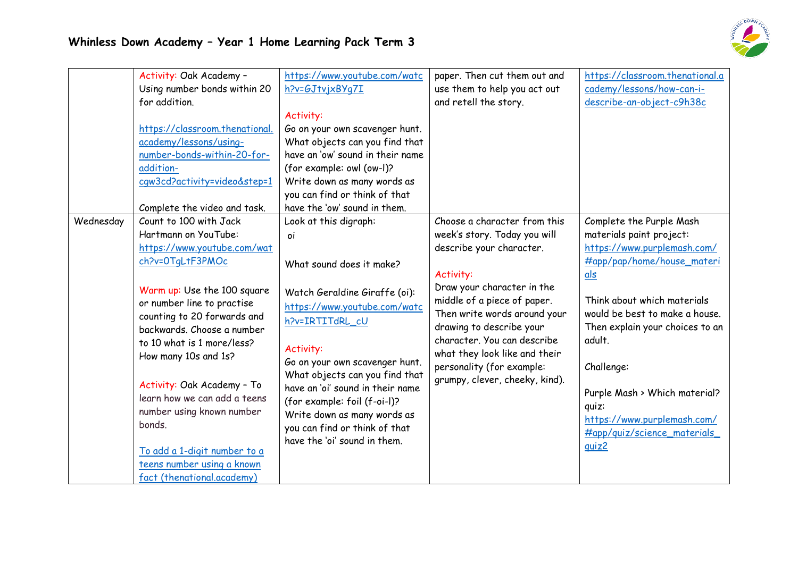

|           | Activity: Oak Academy -                                                                                                                                                                                                                                                                                           | https://www.youtube.com/watc                                                                                                                                                                                                                                                                                                                                      | paper. Then cut them out and   | https://classroom.thenational.a |
|-----------|-------------------------------------------------------------------------------------------------------------------------------------------------------------------------------------------------------------------------------------------------------------------------------------------------------------------|-------------------------------------------------------------------------------------------------------------------------------------------------------------------------------------------------------------------------------------------------------------------------------------------------------------------------------------------------------------------|--------------------------------|---------------------------------|
|           | Using number bonds within 20                                                                                                                                                                                                                                                                                      | h?v=GJtvjxBYq7I                                                                                                                                                                                                                                                                                                                                                   | use them to help you act out   | cademy/lessons/how-can-i-       |
|           | for addition.                                                                                                                                                                                                                                                                                                     |                                                                                                                                                                                                                                                                                                                                                                   | and retell the story.          | describe-an-object-c9h38c       |
|           |                                                                                                                                                                                                                                                                                                                   | Activity:                                                                                                                                                                                                                                                                                                                                                         |                                |                                 |
|           | https://classroom.thenational.                                                                                                                                                                                                                                                                                    | Go on your own scavenger hunt.                                                                                                                                                                                                                                                                                                                                    |                                |                                 |
|           | academy/lessons/using-                                                                                                                                                                                                                                                                                            | What objects can you find that                                                                                                                                                                                                                                                                                                                                    |                                |                                 |
|           | number-bonds-within-20-for-                                                                                                                                                                                                                                                                                       | have an 'ow' sound in their name                                                                                                                                                                                                                                                                                                                                  |                                |                                 |
|           | addition-                                                                                                                                                                                                                                                                                                         | (for example: owl (ow-l)?                                                                                                                                                                                                                                                                                                                                         |                                |                                 |
|           | cqw3cd?activity=video&step=1                                                                                                                                                                                                                                                                                      | Write down as many words as                                                                                                                                                                                                                                                                                                                                       |                                |                                 |
|           |                                                                                                                                                                                                                                                                                                                   | you can find or think of that                                                                                                                                                                                                                                                                                                                                     |                                |                                 |
|           | Complete the video and task.                                                                                                                                                                                                                                                                                      | have the 'ow' sound in them.                                                                                                                                                                                                                                                                                                                                      |                                |                                 |
| Wednesday | Count to 100 with Jack                                                                                                                                                                                                                                                                                            | Look at this digraph:                                                                                                                                                                                                                                                                                                                                             | Choose a character from this   | Complete the Purple Mash        |
|           | Hartmann on YouTube:                                                                                                                                                                                                                                                                                              | οi                                                                                                                                                                                                                                                                                                                                                                | week's story. Today you will   | materials paint project:        |
|           | https://www.youtube.com/wat                                                                                                                                                                                                                                                                                       |                                                                                                                                                                                                                                                                                                                                                                   | describe your character.       | https://www.purplemash.com/     |
|           | ch?v=0TqLtF3PMOc                                                                                                                                                                                                                                                                                                  |                                                                                                                                                                                                                                                                                                                                                                   |                                | #app/pap/home/house_materi      |
|           |                                                                                                                                                                                                                                                                                                                   |                                                                                                                                                                                                                                                                                                                                                                   | Activity:                      | als                             |
|           |                                                                                                                                                                                                                                                                                                                   |                                                                                                                                                                                                                                                                                                                                                                   | Draw your character in the     |                                 |
|           |                                                                                                                                                                                                                                                                                                                   |                                                                                                                                                                                                                                                                                                                                                                   | middle of a piece of paper.    | Think about which materials     |
|           |                                                                                                                                                                                                                                                                                                                   |                                                                                                                                                                                                                                                                                                                                                                   | Then write words around your   | would be best to make a house.  |
|           | backwards. Choose a number                                                                                                                                                                                                                                                                                        |                                                                                                                                                                                                                                                                                                                                                                   | drawing to describe your       | Then explain your choices to an |
|           | to 10 what is 1 more/less?                                                                                                                                                                                                                                                                                        |                                                                                                                                                                                                                                                                                                                                                                   | character. You can describe    | adult.                          |
|           |                                                                                                                                                                                                                                                                                                                   |                                                                                                                                                                                                                                                                                                                                                                   | what they look like and their  |                                 |
|           |                                                                                                                                                                                                                                                                                                                   |                                                                                                                                                                                                                                                                                                                                                                   | personality (for example:      | Challenge:                      |
|           |                                                                                                                                                                                                                                                                                                                   |                                                                                                                                                                                                                                                                                                                                                                   | grumpy, clever, cheeky, kind). |                                 |
|           |                                                                                                                                                                                                                                                                                                                   |                                                                                                                                                                                                                                                                                                                                                                   |                                | Purple Mash > Which material?   |
|           |                                                                                                                                                                                                                                                                                                                   |                                                                                                                                                                                                                                                                                                                                                                   |                                | quiz:                           |
|           |                                                                                                                                                                                                                                                                                                                   |                                                                                                                                                                                                                                                                                                                                                                   |                                | https://www.purplemash.com/     |
|           |                                                                                                                                                                                                                                                                                                                   |                                                                                                                                                                                                                                                                                                                                                                   |                                | #app/quiz/science_materials_    |
|           |                                                                                                                                                                                                                                                                                                                   |                                                                                                                                                                                                                                                                                                                                                                   |                                | quiz2                           |
|           |                                                                                                                                                                                                                                                                                                                   |                                                                                                                                                                                                                                                                                                                                                                   |                                |                                 |
|           |                                                                                                                                                                                                                                                                                                                   |                                                                                                                                                                                                                                                                                                                                                                   |                                |                                 |
|           | Warm up: Use the 100 square<br>or number line to practise<br>counting to 20 forwards and<br>How many 10s and 1s?<br>Activity: Oak Academy - To<br>learn how we can add a teens<br>number using known number<br>bonds.<br>To add a 1-digit number to a<br>teens number using a known<br>fact (thenational.academy) | What sound does it make?<br>Watch Geraldine Giraffe (oi):<br>https://www.youtube.com/watc<br>h?v=IRTITdRL_cU<br>Activity:<br>Go on your own scavenger hunt.<br>What objects can you find that<br>have an 'oi' sound in their name<br>(for example: foil (f-oi-l)?<br>Write down as many words as<br>you can find or think of that<br>have the 'oi' sound in them. |                                |                                 |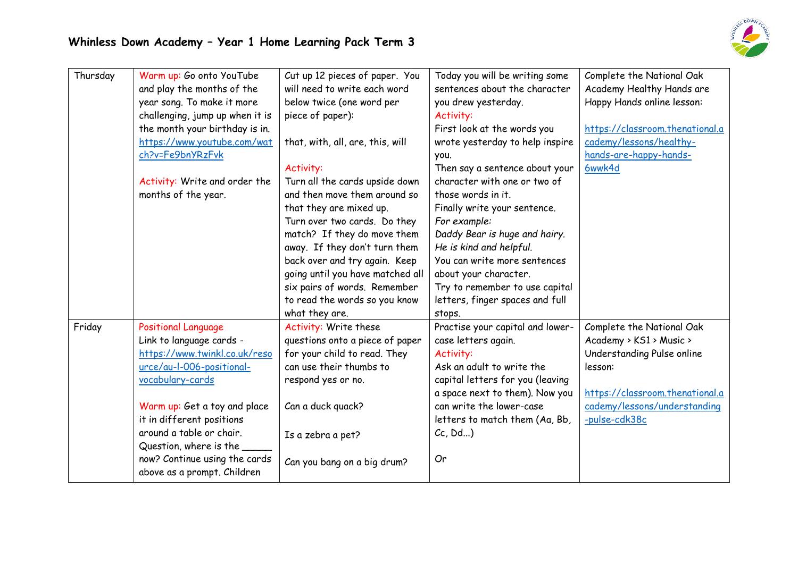

| Thursday | Warm up: Go onto YouTube        | Cut up 12 pieces of paper. You   | Today you will be writing some   | Complete the National Oak       |
|----------|---------------------------------|----------------------------------|----------------------------------|---------------------------------|
|          | and play the months of the      | will need to write each word     | sentences about the character    | Academy Healthy Hands are       |
|          | year song. To make it more      | below twice (one word per        | you drew yesterday.              | Happy Hands online lesson:      |
|          | challenging, jump up when it is | piece of paper):                 | Activity:                        |                                 |
|          | the month your birthday is in.  |                                  | First look at the words you      | https://classroom.thenational.a |
|          | https://www.youtube.com/wat     | that, with, all, are, this, will | wrote yesterday to help inspire  | cademy/lessons/healthy-         |
|          | ch?v=Fe9bnYRzFvk                |                                  | you.                             | hands-are-happy-hands-          |
|          |                                 | Activity:                        | Then say a sentence about your   | 6wwk4d                          |
|          | Activity: Write and order the   | Turn all the cards upside down   | character with one or two of     |                                 |
|          | months of the year.             | and then move them around so     | those words in it.               |                                 |
|          |                                 | that they are mixed up.          | Finally write your sentence.     |                                 |
|          |                                 | Turn over two cards. Do they     | For example:                     |                                 |
|          |                                 | match? If they do move them      | Daddy Bear is huge and hairy.    |                                 |
|          |                                 | away. If they don't turn them    | He is kind and helpful.          |                                 |
|          |                                 | back over and try again. Keep    | You can write more sentences     |                                 |
|          |                                 | going until you have matched all | about your character.            |                                 |
|          |                                 | six pairs of words. Remember     | Try to remember to use capital   |                                 |
|          |                                 | to read the words so you know    | letters, finger spaces and full  |                                 |
|          |                                 | what they are.                   | stops.                           |                                 |
| Friday   | <b>Positional Language</b>      | Activity: Write these            | Practise your capital and lower- | Complete the National Oak       |
|          | Link to language cards -        | questions onto a piece of paper  | case letters again.              | Academy > KS1 > Music >         |
|          | https://www.twinkl.co.uk/reso   | for your child to read. They     | Activity:                        | Understanding Pulse online      |
|          | urce/au-l-006-positional-       | can use their thumbs to          | Ask an adult to write the        | lesson:                         |
|          | vocabulary-cards                | respond yes or no.               | capital letters for you (leaving |                                 |
|          |                                 |                                  | a space next to them). Now you   | https://classroom.thenational.a |
|          | Warm up: Get a toy and place    | Can a duck quack?                | can write the lower-case         | cademy/lessons/understanding    |
|          | it in different positions       |                                  | letters to match them (Aa, Bb,   | -pulse-cdk38c                   |
|          | around a table or chair.        | Is a zebra a pet?                | Cc, Dd                           |                                 |
|          | Question, where is the          |                                  |                                  |                                 |
|          | now? Continue using the cards   | Can you bang on a big drum?      | Or                               |                                 |
|          | above as a prompt. Children     |                                  |                                  |                                 |
|          |                                 |                                  |                                  |                                 |